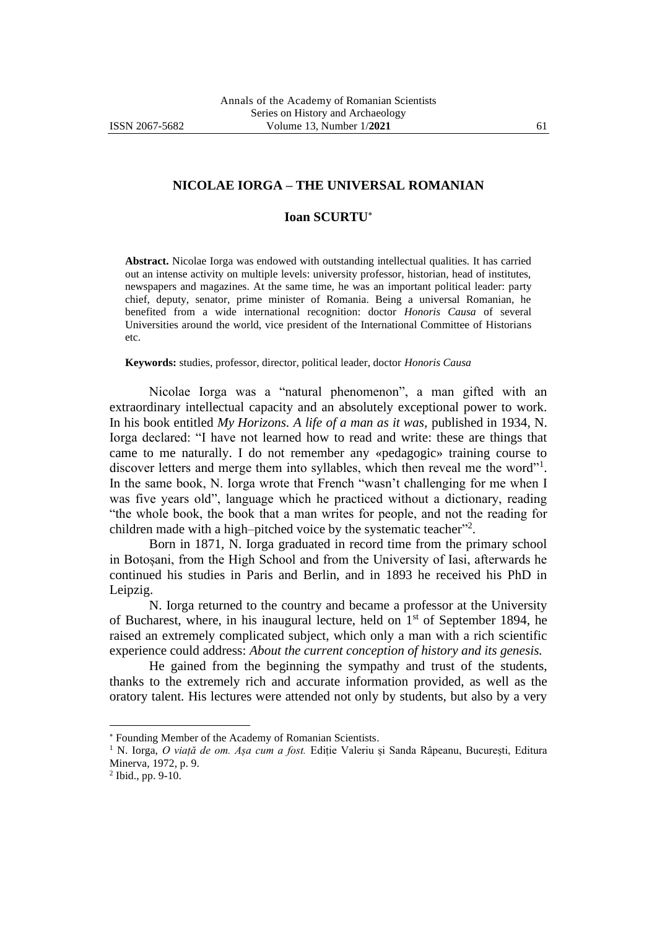## **NICOLAE IORGA – THE UNIVERSAL ROMANIAN**

## **Ioan SCURTU**

**Abstract.** Nicolae Iorga was endowed with outstanding intellectual qualities. It has carried out an intense activity on multiple levels: university professor, historian, head of institutes, newspapers and magazines. At the same time, he was an important political leader: party chief, deputy, senator, prime minister of Romania. Being a universal Romanian, he benefited from a wide international recognition: doctor *Honoris Causa* of several Universities around the world, vice president of the International Committee of Historians etc.

**Keywords:** studies, professor, director, political leader, doctor *Honoris Causa*

Nicolae Iorga was a "natural phenomenon", a man gifted with an extraordinary intellectual capacity and an absolutely exceptional power to work. In his book entitled *My Horizons. A life of a man as it was,* published in 1934, N. Iorga declared: "I have not learned how to read and write: these are things that came to me naturally. I do not remember any «pedagogic» training course to discover letters and merge them into syllables, which then reveal me the word"<sup>1</sup>. In the same book, N. Iorga wrote that French "wasn't challenging for me when I was five years old", language which he practiced without a dictionary, reading "the whole book, the book that a man writes for people, and not the reading for children made with a high–pitched voice by the systematic teacher"<sup>2</sup>.

Born in 1871, N. Iorga graduated in record time from the primary school in Botoșani, from the High School and from the University of Iasi, afterwards he continued his studies in Paris and Berlin, and in 1893 he received his PhD in Leipzig.

N. Iorga returned to the country and became a professor at the University of Bucharest, where, in his inaugural lecture, held on  $1<sup>st</sup>$  of September 1894, he raised an extremely complicated subject, which only a man with a rich scientific experience could address: *About the current conception of history and its genesis.*

He gained from the beginning the sympathy and trust of the students, thanks to the extremely rich and accurate information provided, as well as the oratory talent. His lectures were attended not only by students, but also by a very

Founding Member of the Academy of Romanian Scientists.

<sup>1</sup> N. Iorga, *O viață de om. Așa cum a fost.* Ediție Valeriu și Sanda Râpeanu, București, Editura Minerva, 1972, p. 9.

<sup>2</sup> Ibid., pp. 9-10.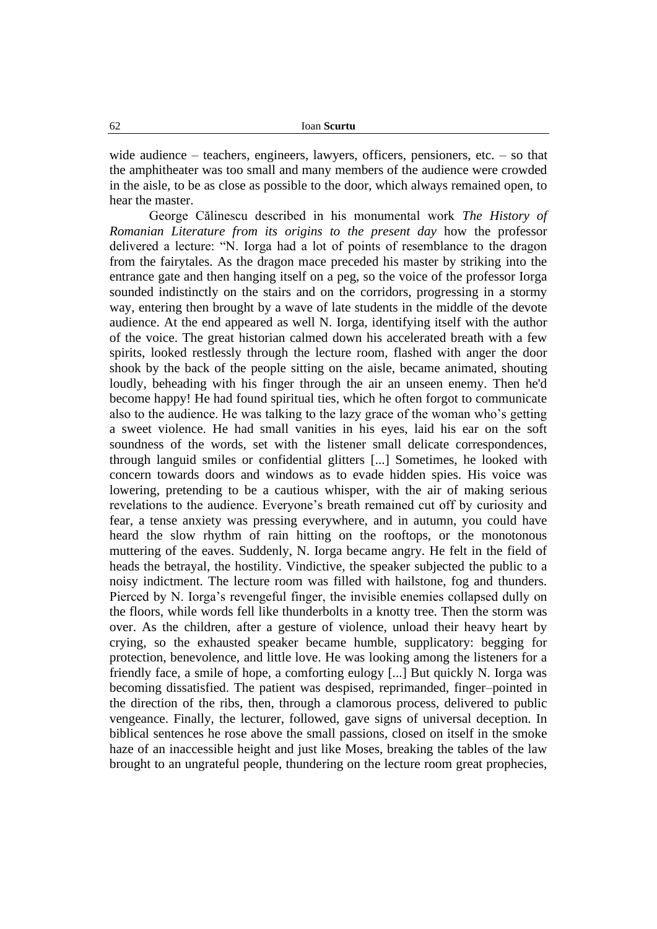wide audience – teachers, engineers, lawyers, officers, pensioners, etc. – so that the amphitheater was too small and many members of the audience were crowded in the aisle, to be as close as possible to the door, which always remained open, to hear the master.

George Călinescu described in his monumental work *The History of Romanian Literature from its origins to the present day* how the professor delivered a lecture: "N. Iorga had a lot of points of resemblance to the dragon from the fairytales. As the dragon mace preceded his master by striking into the entrance gate and then hanging itself on a peg, so the voice of the professor Iorga sounded indistinctly on the stairs and on the corridors, progressing in a stormy way, entering then brought by a wave of late students in the middle of the devote audience. At the end appeared as well N. Iorga, identifying itself with the author of the voice. The great historian calmed down his accelerated breath with a few spirits, looked restlessly through the lecture room, flashed with anger the door shook by the back of the people sitting on the aisle, became animated, shouting loudly, beheading with his finger through the air an unseen enemy. Then he'd become happy! He had found spiritual ties, which he often forgot to communicate also to the audience. He was talking to the lazy grace of the woman who's getting a sweet violence. He had small vanities in his eyes, laid his ear on the soft soundness of the words, set with the listener small delicate correspondences, through languid smiles or confidential glitters [...] Sometimes, he looked with concern towards doors and windows as to evade hidden spies. His voice was lowering, pretending to be a cautious whisper, with the air of making serious revelations to the audience. Everyone's breath remained cut off by curiosity and fear, a tense anxiety was pressing everywhere, and in autumn, you could have heard the slow rhythm of rain hitting on the rooftops, or the monotonous muttering of the eaves. Suddenly, N. Iorga became angry. He felt in the field of heads the betrayal, the hostility. Vindictive, the speaker subjected the public to a noisy indictment. The lecture room was filled with hailstone, fog and thunders. Pierced by N. Iorga's revengeful finger, the invisible enemies collapsed dully on the floors, while words fell like thunderbolts in a knotty tree. Then the storm was over. As the children, after a gesture of violence, unload their heavy heart by crying, so the exhausted speaker became humble, supplicatory: begging for protection, benevolence, and little love. He was looking among the listeners for a friendly face, a smile of hope, a comforting eulogy [...] But quickly N. Iorga was becoming dissatisfied. The patient was despised, reprimanded, finger–pointed in the direction of the ribs, then, through a clamorous process, delivered to public vengeance. Finally, the lecturer, followed, gave signs of universal deception. In biblical sentences he rose above the small passions, closed on itself in the smoke haze of an inaccessible height and just like Moses, breaking the tables of the law brought to an ungrateful people, thundering on the lecture room great prophecies,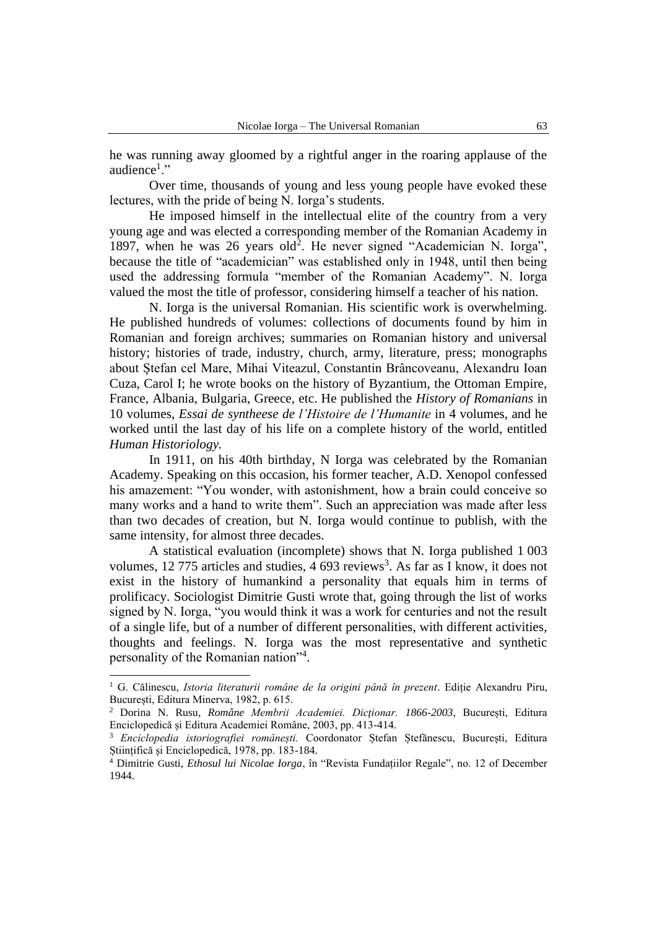he was running away gloomed by a rightful anger in the roaring applause of the audience<sup>1</sup>."

Over time, thousands of young and less young people have evoked these lectures, with the pride of being N. Iorga's students.

He imposed himself in the intellectual elite of the country from a very young age and was elected a corresponding member of the Romanian Academy in 1897, when he was 26 years old<sup>2</sup>. He never signed "Academician N. Iorga", because the title of "academician" was established only in 1948, until then being used the addressing formula "member of the Romanian Academy". N. Iorga valued the most the title of professor, considering himself a teacher of his nation.

N. Iorga is the universal Romanian. His scientific work is overwhelming. He published hundreds of volumes: collections of documents found by him in Romanian and foreign archives; summaries on Romanian history and universal history; histories of trade, industry, church, army, literature, press; monographs about Ștefan cel Mare, Mihai Viteazul, Constantin Brâncoveanu, Alexandru Ioan Cuza, Carol I; he wrote books on the history of Byzantium, the Ottoman Empire, France, Albania, Bulgaria, Greece, etc. He published the *History of Romanians* in 10 volumes, *Essai de syntheese de l'Histoire de l'Humanite* in 4 volumes, and he worked until the last day of his life on a complete history of the world, entitled *Human Historiology.*

In 1911, on his 40th birthday, N Iorga was celebrated by the Romanian Academy. Speaking on this occasion, his former teacher, A.D. Xenopol confessed his amazement: "You wonder, with astonishment, how a brain could conceive so many works and a hand to write them". Such an appreciation was made after less than two decades of creation, but N. Iorga would continue to publish, with the same intensity, for almost three decades.

A statistical evaluation (incomplete) shows that N. Iorga published 1 003 volumes, 12 775 articles and studies, 4 693 reviews<sup>3</sup>. As far as I know, it does not exist in the history of humankind a personality that equals him in terms of prolificacy. Sociologist Dimitrie Gusti wrote that, going through the list of works signed by N. Iorga, "you would think it was a work for centuries and not the result of a single life, but of a number of different personalities, with different activities, thoughts and feelings. N. Iorga was the most representative and synthetic personality of the Romanian nation"<sup>4</sup>.

<sup>1</sup> G. Călinescu, *Istoria literaturii române de la origini până în prezent*. Ediție Alexandru Piru, București, Editura Minerva, 1982, p. 615.

<sup>2</sup> Dorina N. Rusu*, Române Membrii Academiei. Dicţionar. 1866-2003*, București, Editura Enciclopedică și Editura Academiei Române, 2003, pp. 413-414.

<sup>3</sup> *Enciclopedia istoriografiei românești.* Coordonator Ștefan Ștefănescu, București, Editura Științifică și Enciclopedică, 1978, pp. 183-184.

<sup>4</sup> Dimitrie Gusti, *Ethosul lui Nicolae Iorga*, în "Revista Fundațiilor Regale", no. 12 of December 1944.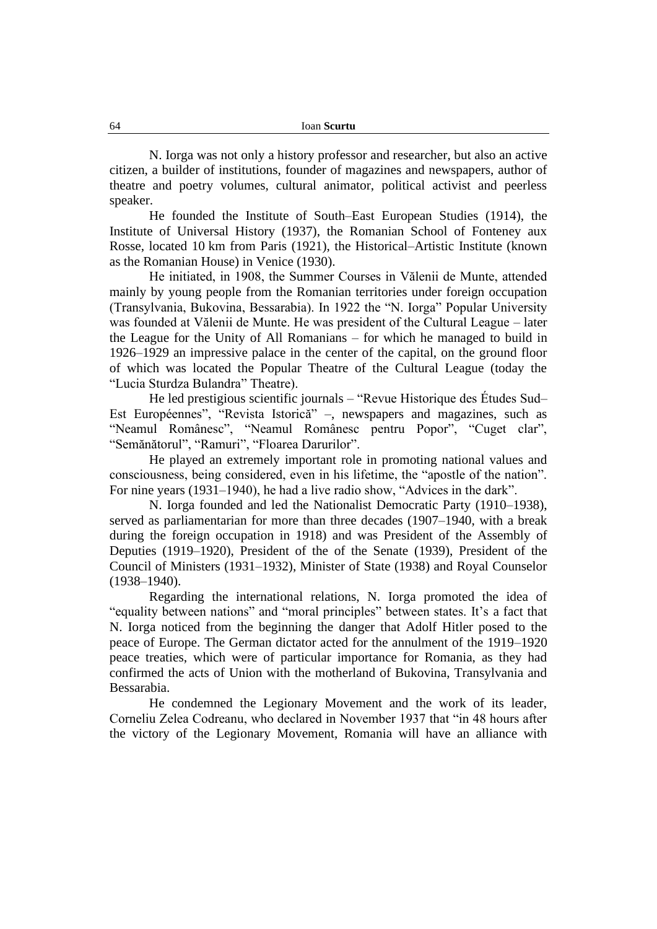N. Iorga was not only a history professor and researcher, but also an active citizen, a builder of institutions, founder of magazines and newspapers, author of theatre and poetry volumes, cultural animator, political activist and peerless speaker.

He founded the Institute of South–East European Studies (1914), the Institute of Universal History (1937), the Romanian School of Fonteney aux Rosse, located 10 km from Paris (1921), the Historical–Artistic Institute (known as the Romanian House) in Venice (1930).

He initiated, in 1908, the Summer Courses in Vălenii de Munte, attended mainly by young people from the Romanian territories under foreign occupation (Transylvania, Bukovina, Bessarabia). In 1922 the "N. Iorga" Popular University was founded at Vălenii de Munte. He was president of the Cultural League – later the League for the Unity of All Romanians – for which he managed to build in 1926–1929 an impressive palace in the center of the capital, on the ground floor of which was located the Popular Theatre of the Cultural League (today the "Lucia Sturdza Bulandra" Theatre).

He led prestigious scientific journals – "Revue Historique des Études Sud– Est Européennes", "Revista Istorică" –, newspapers and magazines, such as "Neamul Românesc", "Neamul Românesc pentru Popor", "Cuget clar", "Semănătorul", "Ramuri", "Floarea Darurilor".

He played an extremely important role in promoting national values and consciousness, being considered, even in his lifetime, the "apostle of the nation". For nine years (1931–1940), he had a live radio show, "Advices in the dark".

N. Iorga founded and led the Nationalist Democratic Party (1910–1938), served as parliamentarian for more than three decades (1907–1940, with a break during the foreign occupation in 1918) and was President of the Assembly of Deputies (1919–1920), President of the of the Senate (1939), President of the Council of Ministers (1931–1932), Minister of State (1938) and Royal Counselor (1938–1940).

Regarding the international relations, N. Iorga promoted the idea of "equality between nations" and "moral principles" between states. It's a fact that N. Iorga noticed from the beginning the danger that Adolf Hitler posed to the peace of Europe. The German dictator acted for the annulment of the 1919–1920 peace treaties, which were of particular importance for Romania, as they had confirmed the acts of Union with the motherland of Bukovina, Transylvania and Bessarabia.

He condemned the Legionary Movement and the work of its leader, Corneliu Zelea Codreanu, who declared in November 1937 that "in 48 hours after the victory of the Legionary Movement, Romania will have an alliance with